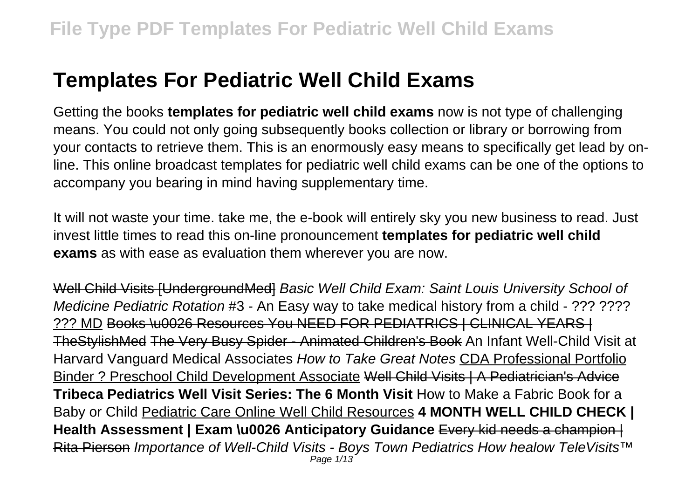# **Templates For Pediatric Well Child Exams**

Getting the books **templates for pediatric well child exams** now is not type of challenging means. You could not only going subsequently books collection or library or borrowing from your contacts to retrieve them. This is an enormously easy means to specifically get lead by online. This online broadcast templates for pediatric well child exams can be one of the options to accompany you bearing in mind having supplementary time.

It will not waste your time. take me, the e-book will entirely sky you new business to read. Just invest little times to read this on-line pronouncement **templates for pediatric well child exams** as with ease as evaluation them wherever you are now.

Well Child Visits [UndergroundMed] Basic Well Child Exam: Saint Louis University School of Medicine Pediatric Rotation #3 - An Easy way to take medical history from a child - ??? ???? ??? MD Books \u0026 Resources You NEED FOR PEDIATRICS | CLINICAL YEARS | TheStylishMed The Very Busy Spider - Animated Children's Book An Infant Well-Child Visit at Harvard Vanguard Medical Associates How to Take Great Notes CDA Professional Portfolio Binder ? Preschool Child Development Associate Well Child Visits | A Pediatrician's Advice **Tribeca Pediatrics Well Visit Series: The 6 Month Visit** How to Make a Fabric Book for a Baby or Child Pediatric Care Online Well Child Resources **4 MONTH WELL CHILD CHECK | Health Assessment | Exam \u0026 Anticipatory Guidance** Every kid needs a champion | Rita Pierson Importance of Well-Child Visits - Boys Town Pediatrics How healow TeleVisits™ Page 1/13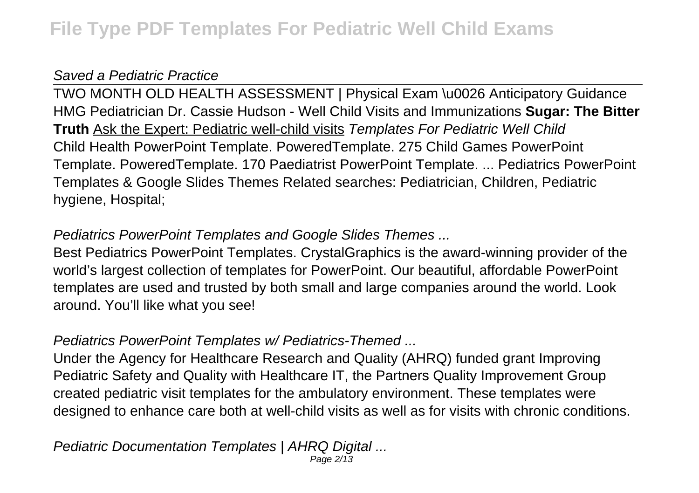### Saved a Pediatric Practice

TWO MONTH OLD HEALTH ASSESSMENT | Physical Exam \u0026 Anticipatory Guidance HMG Pediatrician Dr. Cassie Hudson - Well Child Visits and Immunizations **Sugar: The Bitter Truth** Ask the Expert: Pediatric well-child visits Templates For Pediatric Well Child Child Health PowerPoint Template. PoweredTemplate. 275 Child Games PowerPoint Template. PoweredTemplate. 170 Paediatrist PowerPoint Template. ... Pediatrics PowerPoint Templates & Google Slides Themes Related searches: Pediatrician, Children, Pediatric hygiene, Hospital;

## Pediatrics PowerPoint Templates and Google Slides Themes ...

Best Pediatrics PowerPoint Templates. CrystalGraphics is the award-winning provider of the world's largest collection of templates for PowerPoint. Our beautiful, affordable PowerPoint templates are used and trusted by both small and large companies around the world. Look around. You'll like what you see!

## Pediatrics PowerPoint Templates w/ Pediatrics-Themed ...

Under the Agency for Healthcare Research and Quality (AHRQ) funded grant Improving Pediatric Safety and Quality with Healthcare IT, the Partners Quality Improvement Group created pediatric visit templates for the ambulatory environment. These templates were designed to enhance care both at well-child visits as well as for visits with chronic conditions.

Pediatric Documentation Templates | AHRQ Digital ... Page 2/13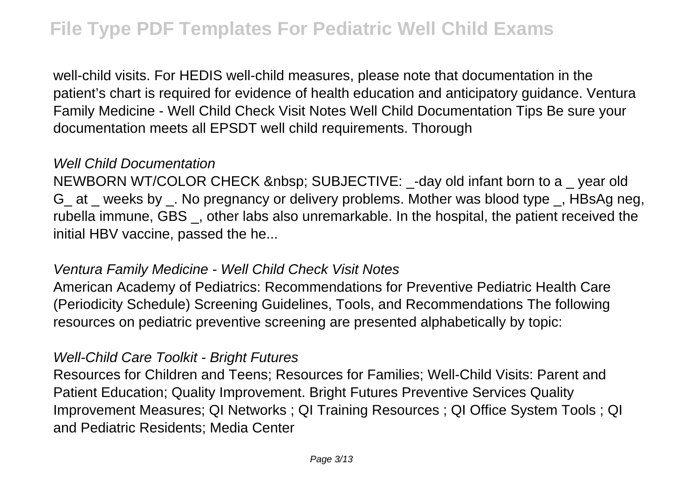well-child visits. For HEDIS well-child measures, please note that documentation in the patient's chart is required for evidence of health education and anticipatory guidance. Ventura Family Medicine - Well Child Check Visit Notes Well Child Documentation Tips Be sure your documentation meets all EPSDT well child requirements. Thorough

#### Well Child Documentation

NEWBORN WT/COLOR CHECK SUBJECTIVE: - day old infant born to a year old G at weeks by . No pregnancy or delivery problems. Mother was blood type, HBsAg neg, rubella immune, GBS \_, other labs also unremarkable. In the hospital, the patient received the initial HBV vaccine, passed the he...

#### Ventura Family Medicine - Well Child Check Visit Notes

American Academy of Pediatrics: Recommendations for Preventive Pediatric Health Care (Periodicity Schedule) Screening Guidelines, Tools, and Recommendations The following resources on pediatric preventive screening are presented alphabetically by topic:

#### Well-Child Care Toolkit - Bright Futures

Resources for Children and Teens; Resources for Families; Well-Child Visits: Parent and Patient Education; Quality Improvement. Bright Futures Preventive Services Quality Improvement Measures; QI Networks ; QI Training Resources ; QI Office System Tools ; QI and Pediatric Residents; Media Center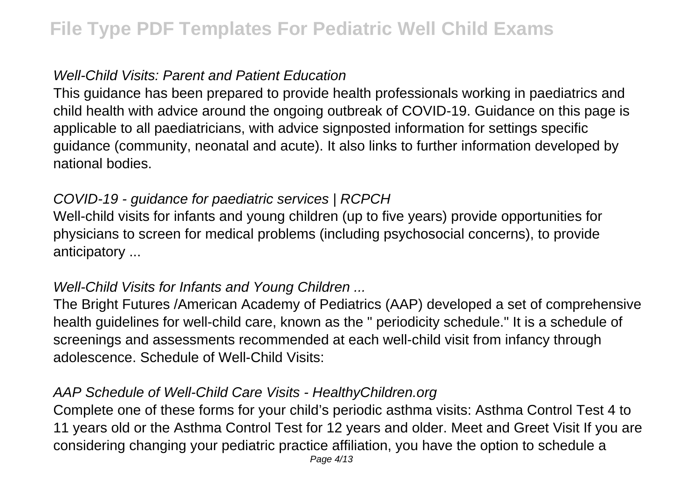#### Well-Child Visits: Parent and Patient Education

This guidance has been prepared to provide health professionals working in paediatrics and child health with advice around the ongoing outbreak of COVID-19. Guidance on this page is applicable to all paediatricians, with advice signposted information for settings specific guidance (community, neonatal and acute). It also links to further information developed by national bodies.

### COVID-19 - guidance for paediatric services | RCPCH

Well-child visits for infants and young children (up to five years) provide opportunities for physicians to screen for medical problems (including psychosocial concerns), to provide anticipatory ...

#### Well-Child Visits for Infants and Young Children ...

The Bright Futures /American Academy of Pediatrics (AAP) developed a set of comprehensive health guidelines for well-child care, known as the " periodicity schedule." It is a schedule of screenings and assessments recommended at each well-child visit from infancy through adolescence. Schedule of Well-Child Visits:

#### AAP Schedule of Well-Child Care Visits - HealthyChildren.org

Complete one of these forms for your child's periodic asthma visits: Asthma Control Test 4 to 11 years old or the Asthma Control Test for 12 years and older. Meet and Greet Visit If you are considering changing your pediatric practice affiliation, you have the option to schedule a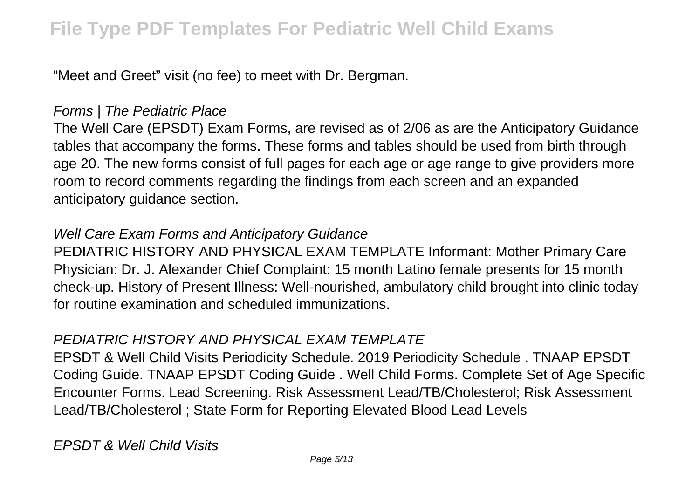"Meet and Greet" visit (no fee) to meet with Dr. Bergman.

#### Forms | The Pediatric Place

The Well Care (EPSDT) Exam Forms, are revised as of 2/06 as are the Anticipatory Guidance tables that accompany the forms. These forms and tables should be used from birth through age 20. The new forms consist of full pages for each age or age range to give providers more room to record comments regarding the findings from each screen and an expanded anticipatory guidance section.

#### Well Care Exam Forms and Anticipatory Guidance

PEDIATRIC HISTORY AND PHYSICAL EXAM TEMPLATE Informant: Mother Primary Care Physician: Dr. J. Alexander Chief Complaint: 15 month Latino female presents for 15 month check-up. History of Present Illness: Well-nourished, ambulatory child brought into clinic today for routine examination and scheduled immunizations.

#### PEDIATRIC HISTORY AND PHYSICAL EXAM TEMPLATE

EPSDT & Well Child Visits Periodicity Schedule. 2019 Periodicity Schedule . TNAAP EPSDT Coding Guide. TNAAP EPSDT Coding Guide . Well Child Forms. Complete Set of Age Specific Encounter Forms. Lead Screening. Risk Assessment Lead/TB/Cholesterol; Risk Assessment Lead/TB/Cholesterol ; State Form for Reporting Elevated Blood Lead Levels

EPSDT & Well Child Visits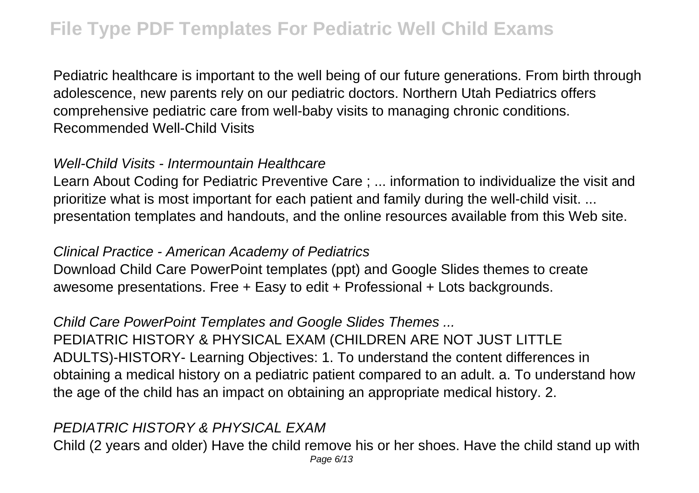Pediatric healthcare is important to the well being of our future generations. From birth through adolescence, new parents rely on our pediatric doctors. Northern Utah Pediatrics offers comprehensive pediatric care from well-baby visits to managing chronic conditions. Recommended Well-Child Visits

#### Well-Child Visits - Intermountain Healthcare

Learn About Coding for Pediatric Preventive Care ; ... information to individualize the visit and prioritize what is most important for each patient and family during the well-child visit. ... presentation templates and handouts, and the online resources available from this Web site.

#### Clinical Practice - American Academy of Pediatrics

Download Child Care PowerPoint templates (ppt) and Google Slides themes to create awesome presentations. Free + Easy to edit + Professional + Lots backgrounds.

Child Care PowerPoint Templates and Google Slides Themes ...

PEDIATRIC HISTORY & PHYSICAL EXAM (CHILDREN ARE NOT JUST LITTLE ADULTS)-HISTORY- Learning Objectives: 1. To understand the content differences in obtaining a medical history on a pediatric patient compared to an adult. a. To understand how the age of the child has an impact on obtaining an appropriate medical history. 2.

### PEDIATRIC HISTORY & PHYSICAL EXAM

Child (2 years and older) Have the child remove his or her shoes. Have the child stand up with Page 6/13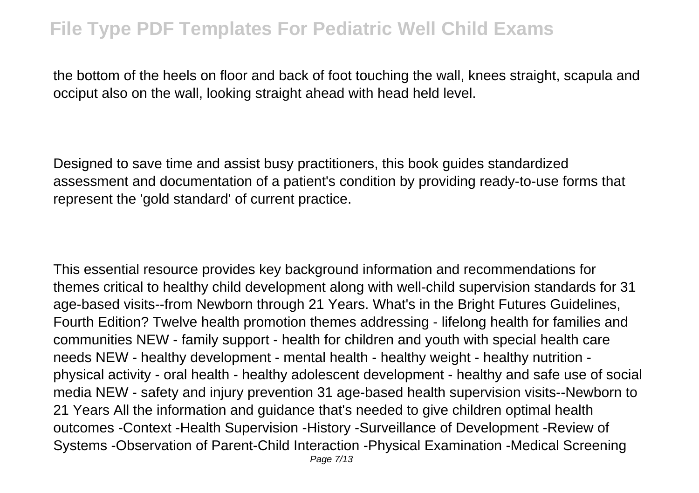the bottom of the heels on floor and back of foot touching the wall, knees straight, scapula and occiput also on the wall, looking straight ahead with head held level.

Designed to save time and assist busy practitioners, this book guides standardized assessment and documentation of a patient's condition by providing ready-to-use forms that represent the 'gold standard' of current practice.

This essential resource provides key background information and recommendations for themes critical to healthy child development along with well-child supervision standards for 31 age-based visits--from Newborn through 21 Years. What's in the Bright Futures Guidelines, Fourth Edition? Twelve health promotion themes addressing - lifelong health for families and communities NEW - family support - health for children and youth with special health care needs NEW - healthy development - mental health - healthy weight - healthy nutrition physical activity - oral health - healthy adolescent development - healthy and safe use of social media NEW - safety and injury prevention 31 age-based health supervision visits--Newborn to 21 Years All the information and guidance that's needed to give children optimal health outcomes -Context -Health Supervision -History -Surveillance of Development -Review of Systems -Observation of Parent-Child Interaction -Physical Examination -Medical Screening Page 7/13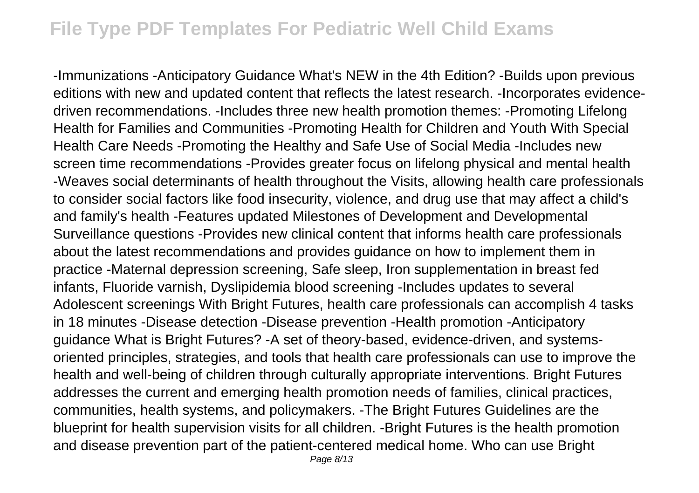-Immunizations -Anticipatory Guidance What's NEW in the 4th Edition? -Builds upon previous editions with new and updated content that reflects the latest research. -Incorporates evidencedriven recommendations. -Includes three new health promotion themes: -Promoting Lifelong Health for Families and Communities -Promoting Health for Children and Youth With Special Health Care Needs -Promoting the Healthy and Safe Use of Social Media -Includes new screen time recommendations -Provides greater focus on lifelong physical and mental health -Weaves social determinants of health throughout the Visits, allowing health care professionals to consider social factors like food insecurity, violence, and drug use that may affect a child's and family's health -Features updated Milestones of Development and Developmental Surveillance questions -Provides new clinical content that informs health care professionals about the latest recommendations and provides guidance on how to implement them in practice -Maternal depression screening, Safe sleep, Iron supplementation in breast fed infants, Fluoride varnish, Dyslipidemia blood screening -Includes updates to several Adolescent screenings With Bright Futures, health care professionals can accomplish 4 tasks in 18 minutes -Disease detection -Disease prevention -Health promotion -Anticipatory guidance What is Bright Futures? -A set of theory-based, evidence-driven, and systemsoriented principles, strategies, and tools that health care professionals can use to improve the health and well-being of children through culturally appropriate interventions. Bright Futures addresses the current and emerging health promotion needs of families, clinical practices, communities, health systems, and policymakers. -The Bright Futures Guidelines are the blueprint for health supervision visits for all children. -Bright Futures is the health promotion and disease prevention part of the patient-centered medical home. Who can use Bright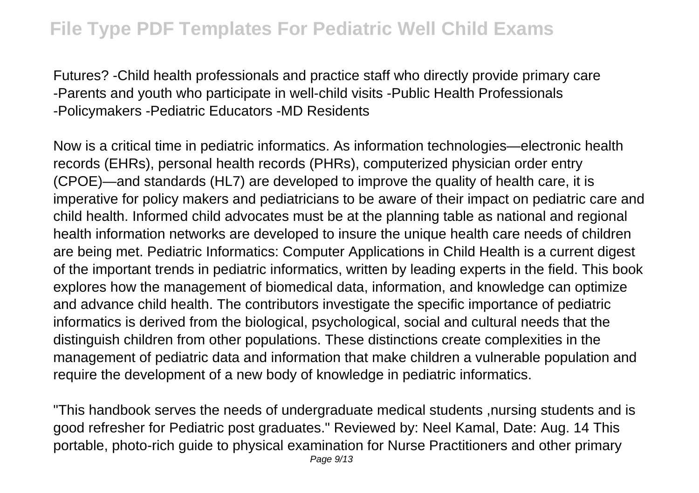Futures? -Child health professionals and practice staff who directly provide primary care -Parents and youth who participate in well-child visits -Public Health Professionals -Policymakers -Pediatric Educators -MD Residents

Now is a critical time in pediatric informatics. As information technologies—electronic health records (EHRs), personal health records (PHRs), computerized physician order entry (CPOE)—and standards (HL7) are developed to improve the quality of health care, it is imperative for policy makers and pediatricians to be aware of their impact on pediatric care and child health. Informed child advocates must be at the planning table as national and regional health information networks are developed to insure the unique health care needs of children are being met. Pediatric Informatics: Computer Applications in Child Health is a current digest of the important trends in pediatric informatics, written by leading experts in the field. This book explores how the management of biomedical data, information, and knowledge can optimize and advance child health. The contributors investigate the specific importance of pediatric informatics is derived from the biological, psychological, social and cultural needs that the distinguish children from other populations. These distinctions create complexities in the management of pediatric data and information that make children a vulnerable population and require the development of a new body of knowledge in pediatric informatics.

"This handbook serves the needs of undergraduate medical students ,nursing students and is good refresher for Pediatric post graduates." Reviewed by: Neel Kamal, Date: Aug. 14 This portable, photo-rich guide to physical examination for Nurse Practitioners and other primary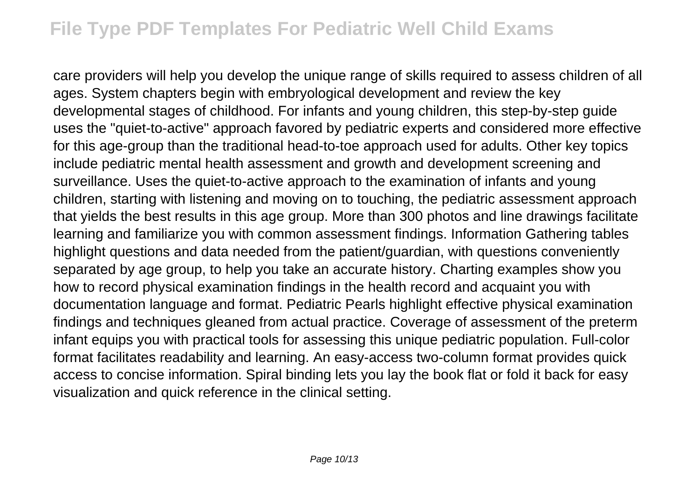care providers will help you develop the unique range of skills required to assess children of all ages. System chapters begin with embryological development and review the key developmental stages of childhood. For infants and young children, this step-by-step guide uses the "quiet-to-active" approach favored by pediatric experts and considered more effective for this age-group than the traditional head-to-toe approach used for adults. Other key topics include pediatric mental health assessment and growth and development screening and surveillance. Uses the quiet-to-active approach to the examination of infants and young children, starting with listening and moving on to touching, the pediatric assessment approach that yields the best results in this age group. More than 300 photos and line drawings facilitate learning and familiarize you with common assessment findings. Information Gathering tables highlight questions and data needed from the patient/guardian, with questions conveniently separated by age group, to help you take an accurate history. Charting examples show you how to record physical examination findings in the health record and acquaint you with documentation language and format. Pediatric Pearls highlight effective physical examination findings and techniques gleaned from actual practice. Coverage of assessment of the preterm infant equips you with practical tools for assessing this unique pediatric population. Full-color format facilitates readability and learning. An easy-access two-column format provides quick access to concise information. Spiral binding lets you lay the book flat or fold it back for easy visualization and quick reference in the clinical setting.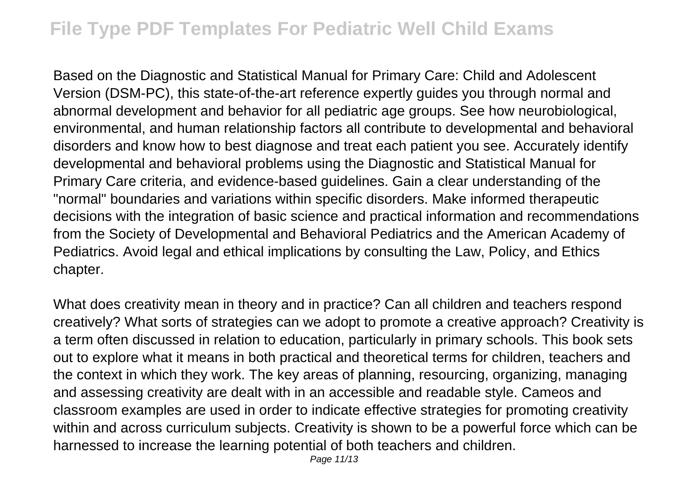Based on the Diagnostic and Statistical Manual for Primary Care: Child and Adolescent Version (DSM-PC), this state-of-the-art reference expertly guides you through normal and abnormal development and behavior for all pediatric age groups. See how neurobiological, environmental, and human relationship factors all contribute to developmental and behavioral disorders and know how to best diagnose and treat each patient you see. Accurately identify developmental and behavioral problems using the Diagnostic and Statistical Manual for Primary Care criteria, and evidence-based guidelines. Gain a clear understanding of the "normal" boundaries and variations within specific disorders. Make informed therapeutic decisions with the integration of basic science and practical information and recommendations from the Society of Developmental and Behavioral Pediatrics and the American Academy of Pediatrics. Avoid legal and ethical implications by consulting the Law, Policy, and Ethics chapter.

What does creativity mean in theory and in practice? Can all children and teachers respond creatively? What sorts of strategies can we adopt to promote a creative approach? Creativity is a term often discussed in relation to education, particularly in primary schools. This book sets out to explore what it means in both practical and theoretical terms for children, teachers and the context in which they work. The key areas of planning, resourcing, organizing, managing and assessing creativity are dealt with in an accessible and readable style. Cameos and classroom examples are used in order to indicate effective strategies for promoting creativity within and across curriculum subjects. Creativity is shown to be a powerful force which can be harnessed to increase the learning potential of both teachers and children.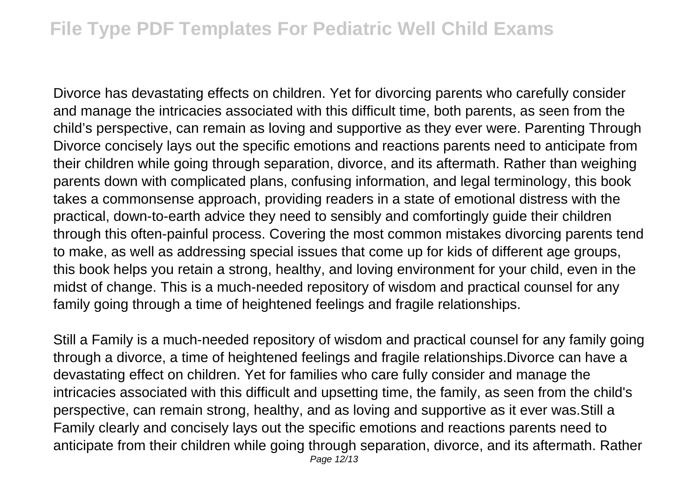Divorce has devastating effects on children. Yet for divorcing parents who carefully consider and manage the intricacies associated with this difficult time, both parents, as seen from the child's perspective, can remain as loving and supportive as they ever were. Parenting Through Divorce concisely lays out the specific emotions and reactions parents need to anticipate from their children while going through separation, divorce, and its aftermath. Rather than weighing parents down with complicated plans, confusing information, and legal terminology, this book takes a commonsense approach, providing readers in a state of emotional distress with the practical, down-to-earth advice they need to sensibly and comfortingly guide their children through this often-painful process. Covering the most common mistakes divorcing parents tend to make, as well as addressing special issues that come up for kids of different age groups, this book helps you retain a strong, healthy, and loving environment for your child, even in the midst of change. This is a much-needed repository of wisdom and practical counsel for any family going through a time of heightened feelings and fragile relationships.

Still a Family is a much-needed repository of wisdom and practical counsel for any family going through a divorce, a time of heightened feelings and fragile relationships.Divorce can have a devastating effect on children. Yet for families who care fully consider and manage the intricacies associated with this difficult and upsetting time, the family, as seen from the child's perspective, can remain strong, healthy, and as loving and supportive as it ever was.Still a Family clearly and concisely lays out the specific emotions and reactions parents need to anticipate from their children while going through separation, divorce, and its aftermath. Rather Page 12/13